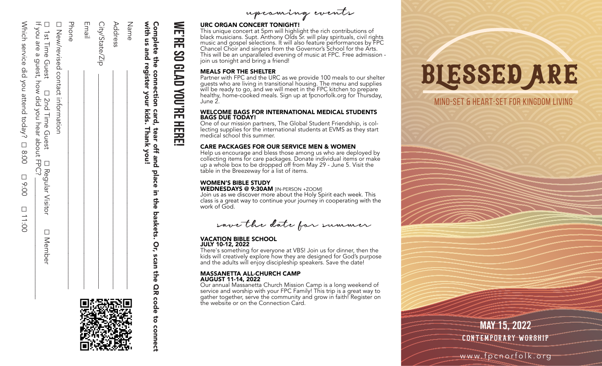| )<br>5                                                       |
|--------------------------------------------------------------|
| うりり                                                          |
|                                                              |
| ACTE : APON MIRIN AND AND ANDER THAT<br>  , , , , , , ++ , , |
| )<br>)<br>)<br>)                                             |
| ١                                                            |
|                                                              |
| $\overline{\phantom{a}}$<br>[ 〜こく                            |
| I<br>.<br>.<br>.                                             |

≶

| If National Science rear about HPC? | $\Box$ ist lime Guest $\Box$ Ime Guest I |
|-------------------------------------|------------------------------------------|
|                                     |                                          |
|                                     |                                          |
|                                     |                                          |
|                                     |                                          |
|                                     |                                          |
|                                     | I Hearing Visitor                        |
|                                     |                                          |
|                                     |                                          |
|                                     |                                          |
|                                     |                                          |
|                                     |                                          |
|                                     | <b>LINember</b>                          |
|                                     |                                          |
|                                     |                                          |
|                                     |                                          |
|                                     |                                          |
|                                     |                                          |
|                                     |                                          |
|                                     |                                          |
|                                     |                                          |
|                                     |                                          |

| □ 1st Time Guest  |  |
|-------------------|--|
|                   |  |
|                   |  |
|                   |  |
|                   |  |
|                   |  |
|                   |  |
|                   |  |
| □ 2nd Time Guest  |  |
|                   |  |
|                   |  |
|                   |  |
|                   |  |
|                   |  |
|                   |  |
|                   |  |
|                   |  |
|                   |  |
| □ Requiar Visitor |  |
|                   |  |
|                   |  |
|                   |  |
|                   |  |
|                   |  |
| II Nenher         |  |
|                   |  |
|                   |  |
|                   |  |

| □ New/revised contact information          |
|--------------------------------------------|
| Phone                                      |
| Email                                      |
| City/State/Zip                             |
| Address                                    |
| Name                                       |
| with us and register your kids. Thank you! |

1012566655566

## **NERE WE'RE SO GLAD YOU'RE HERE! CD GLAD** YOU'RE HERE

Complete the connection card, tear off and place in the baskets. Or, scan the QR code to connect

Ξ. the<sup></sup>

baskets.

Or,

scan

the

QR code

 $\overline{6}$ 

connec

place

Complete the connection card, tear off and



## URC ORGAN CONCERT TONIGHT!

This unique concert at 5pm will highlight the rich contributions of black musicians. Supt. Anthony Olds Sr. will play spirituals, civil rights music and gospel selections. It will also feature performances by FPC Chancel Choir and singers from the Governor's School for the Arts. This will be an unparalleled evening of music at FPC. Free admission join us tonight and bring a friend!

## MEALS FOR THE SHELTER

Partner with FPC and the URC as we provide 100 meals to our shelter guests who are living in transitional housing. The menu and supplies will be ready to go, and we will meet in the FPC kitchen to prepare healthy, home-cooked meals. Sign up at fpcnorfolk.org for Thursday, June 2.

#### WELCOME BAGS FOR INTERNATIONAL MEDICAL STUDENTS BAGS DUE TODAY!

One of our mission partners, The Global Student Friendship, is col lecting supplies for the international students at EVMS as they start medical school this summer.

## CARE PACKAGES FOR OUR SERVICE MEN & WOMEN

Help us encourage and bless those among us who are deployed by collecting items for care packages. Donate individual items or make up a whole box to be dropped off from May 29 - June 5. Visit the table in the Breezeway for a list of items.

## WOMEN'S BIBLE STUDY

WEDNESDAYS @ 9:30AM [IN-PERSON +ZOOM] Join us as we discover more about the Holy Spirit each week. This class is a great way to continue your journey in cooperating with the work of God.

save the date for summer

#### VACATION BIBLE SCHOOL JULY 10-12, 2022

There's something for everyone at VBS! Join us for dinner, then the kids will creatively explore how they are designed for God's purpose and the adults will enjoy discipleship speakers. Save the date!

#### MASSANETTA ALL-CHURCH CAMP AUGUST 11-14, 2022

Our annual Massanetta Church Mission Camp is a long weekend of service and worship with your FPC Family! This trip is a great way to gather together, serve the community and grow in faith! Register on the website or on the Connection Card.

# blessed are

## mind-set & heart-set for Kingdom living

WEISHE

as one of the contract of

**APRIL 17, 2022 MAY 15, 2022** CONTEMPORARY WORSHIP

PALM SUNDA

EASTER SUNDA

EASTER SUNDA

 $\equiv$ 

Y

Y

ww.facebook.org www.fpcnorfolk.org